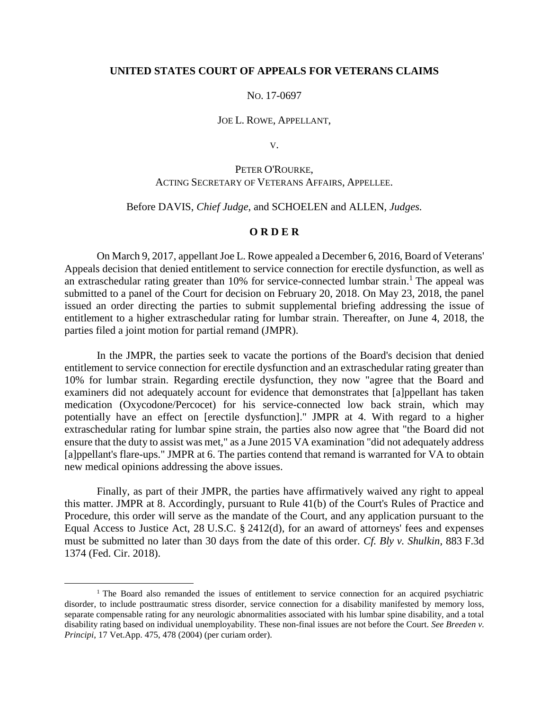## **UNITED STATES COURT OF APPEALS FOR VETERANS CLAIMS**

## NO. 17-0697

#### JOE L. ROWE, APPELLANT,

V.

# PETER O'ROURKE, ACTING SECRETARY OF VETERANS AFFAIRS, APPELLEE.

## Before DAVIS, *Chief Judge*, and SCHOELEN and ALLEN, *Judges.*

## **O R D E R**

On March 9, 2017, appellant Joe L. Rowe appealed a December 6, 2016, Board of Veterans' Appeals decision that denied entitlement to service connection for erectile dysfunction, as well as an extraschedular rating greater than  $10\%$  for service-connected lumbar strain.<sup>1</sup> The appeal was submitted to a panel of the Court for decision on February 20, 2018. On May 23, 2018, the panel issued an order directing the parties to submit supplemental briefing addressing the issue of entitlement to a higher extraschedular rating for lumbar strain. Thereafter, on June 4, 2018, the parties filed a joint motion for partial remand (JMPR).

In the JMPR, the parties seek to vacate the portions of the Board's decision that denied entitlement to service connection for erectile dysfunction and an extraschedular rating greater than 10% for lumbar strain. Regarding erectile dysfunction, they now "agree that the Board and examiners did not adequately account for evidence that demonstrates that [a]ppellant has taken medication (Oxycodone/Percocet) for his service-connected low back strain, which may potentially have an effect on [erectile dysfunction]." JMPR at 4. With regard to a higher extraschedular rating for lumbar spine strain, the parties also now agree that "the Board did not ensure that the duty to assist was met," as a June 2015 VA examination "did not adequately address [a]ppellant's flare-ups." JMPR at 6. The parties contend that remand is warranted for VA to obtain new medical opinions addressing the above issues.

Finally, as part of their JMPR, the parties have affirmatively waived any right to appeal this matter. JMPR at 8. Accordingly, pursuant to Rule 41(b) of the Court's Rules of Practice and Procedure, this order will serve as the mandate of the Court, and any application pursuant to the Equal Access to Justice Act, 28 U.S.C. § 2412(d), for an award of attorneys' fees and expenses must be submitted no later than 30 days from the date of this order. *Cf. Bly v. Shulkin*, 883 F.3d 1374 (Fed. Cir. 2018).

 $\overline{a}$ 

<sup>&</sup>lt;sup>1</sup> The Board also remanded the issues of entitlement to service connection for an acquired psychiatric disorder, to include posttraumatic stress disorder, service connection for a disability manifested by memory loss, separate compensable rating for any neurologic abnormalities associated with his lumbar spine disability, and a total disability rating based on individual unemployability. These non-final issues are not before the Court. *See Breeden v. Principi*, 17 Vet.App. 475, 478 (2004) (per curiam order).